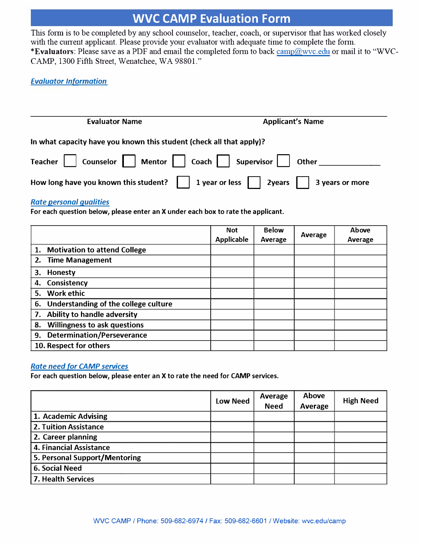## **WVC CAMP Evaluation Form**

This form is to be completed by any school counselor, teacher, coach, or supervisor that has worked closely with the current applicant. Please provide your evaluator with adequate time to complete the form. **\*Evaluators:** Please save as a PDF and email the completed form to back [camp@wvc.edu](mailto:camp@wvc.edu) or mail it to "WVC-CAMP, 1300 Fifth Street, Wenatchee, WA 98801."

### *Evaluator Information*

| <b>Evaluator Name</b>                                                                                                                                                                                                 | <b>Applicant's Name</b> |
|-----------------------------------------------------------------------------------------------------------------------------------------------------------------------------------------------------------------------|-------------------------|
| In what capacity have you known this student (check all that apply)?                                                                                                                                                  |                         |
| Teacher     Counselor   Mentor     Coach     Supervisor     Other                                                                                                                                                     |                         |
| How long have you known this student? $\begin{vmatrix} 1 & 1 & 1 \\ 1 & 2 & 1 \end{vmatrix}$ 2years $\begin{vmatrix} 1 & 3 & 4 \\ 1 & 3 & 1 \end{vmatrix}$ and $\begin{vmatrix} 1 & 3 & 4 \\ 1 & 1 & 1 \end{vmatrix}$ |                         |

#### *Rate personal qualities*

**For each question below, please enter an X under each box to rate the applicant.** 

|                                           | <b>Not</b><br><b>Applicable</b> | <b>Below</b><br>Average | Average | Above<br>Average |
|-------------------------------------------|---------------------------------|-------------------------|---------|------------------|
| <b>Motivation to attend College</b><br>1. |                                 |                         |         |                  |
| 2. Time Management                        |                                 |                         |         |                  |
| 3.<br><b>Honesty</b>                      |                                 |                         |         |                  |
| Consistency<br>4.                         |                                 |                         |         |                  |
| <b>Work ethic</b><br>5.                   |                                 |                         |         |                  |
| 6. Understanding of the college culture   |                                 |                         |         |                  |
| Ability to handle adversity<br>7.         |                                 |                         |         |                  |
| <b>Willingness to ask questions</b><br>8. |                                 |                         |         |                  |
| <b>Determination/Perseverance</b><br>9.   |                                 |                         |         |                  |
| 10. Respect for others                    |                                 |                         |         |                  |

#### *Rate need for CAMP services*

**For each question below, please enter an X to rate the need for CAMP services.** 

|                               | <b>Low Need</b> | Average<br><b>Need</b> | Above<br>Average | <b>High Need</b> |
|-------------------------------|-----------------|------------------------|------------------|------------------|
| 1. Academic Advising          |                 |                        |                  |                  |
| <b>2. Tuition Assistance</b>  |                 |                        |                  |                  |
| 2. Career planning            |                 |                        |                  |                  |
| 4. Financial Assistance       |                 |                        |                  |                  |
| 5. Personal Support/Mentoring |                 |                        |                  |                  |
| <b>6. Social Need</b>         |                 |                        |                  |                  |
| 7. Health Services            |                 |                        |                  |                  |